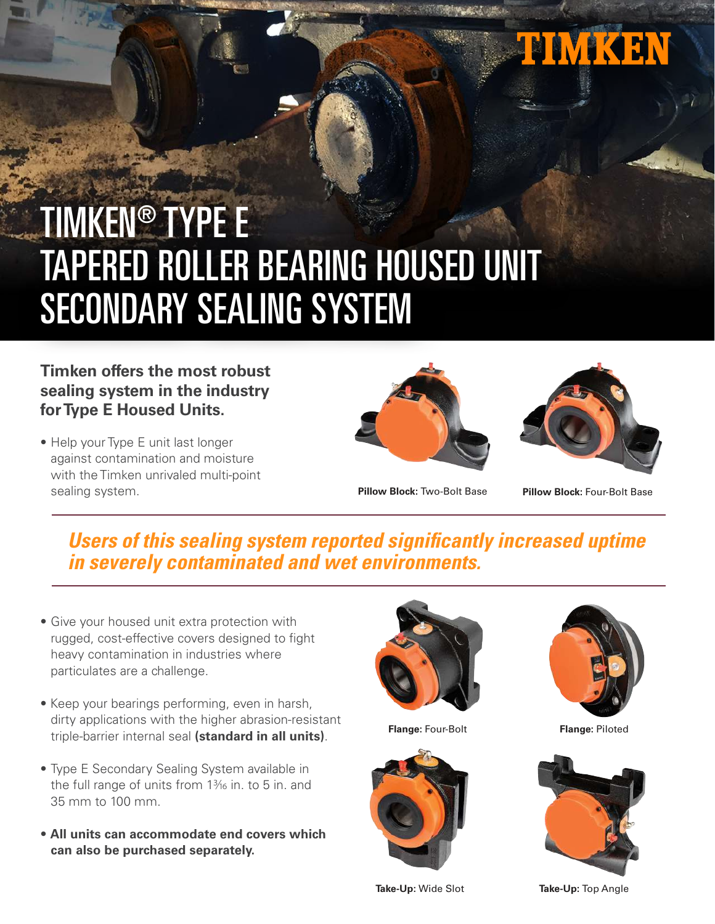

# TIMKEN® TYPE E TAPERED ROLLER BEARING HOUSED UNIT SECONDARY SEALING SYSTEM

#### **Timken offers the most robust sealing system in the industry for Type E Housed Units.**

• Help your Type E unit last longer against contamination and moisture with the Timken unrivaled multi-point sealing system.





**Pillow Block:** Two-Bolt Base **Pillow Block:** Four-Bolt Base

### **Users of this sealing system reported significantly increased uptime in severely contaminated and wet environments.**

- Give your housed unit extra protection with rugged, cost-effective covers designed to fight heavy contamination in industries where particulates are a challenge.
- Keep your bearings performing, even in harsh, dirty applications with the higher abrasion-resistant triple-barrier internal seal **(standard in all units)**.
- Type E Secondary Sealing System available in the full range of units from  $1\frac{3}{16}$  in. to 5 in. and 35 mm to 100 mm.
- **All units can accommodate end covers which can also be purchased separately.**



**Flange:** Four-Bolt **Flange:** Piloted







**Take-Up:** Wide Slot **Take-Up:** Top Angle